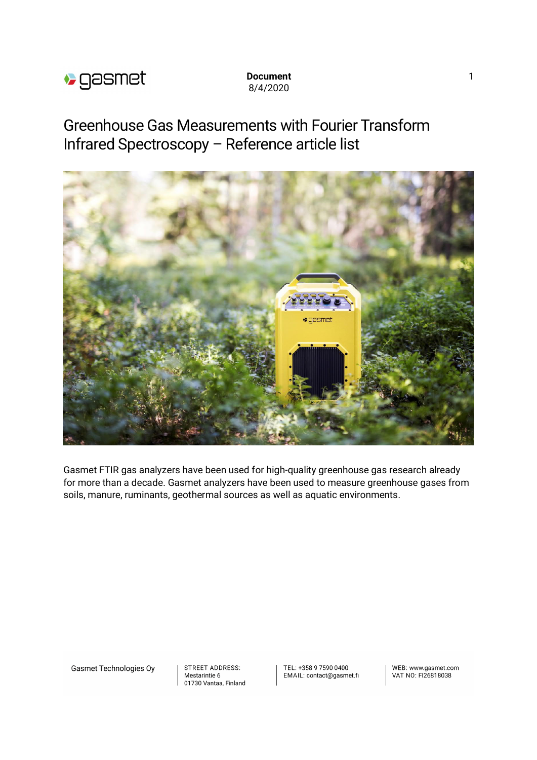

## **Document** 1 8/4/2020

Greenhouse Gas Measurements with Fourier Transform Infrared Spectroscopy – Reference article list



Gasmet FTIR gas analyzers have been used for high-quality greenhouse gas research already for more than a decade. Gasmet analyzers have been used to measure greenhouse gases from soils, manure, ruminants, geothermal sources as well as aquatic environments.

**Gasmet Technologies Oy** 

**STREET ADDRESS:** Mestarintie 6 01730 Vantaa, Finland TEL: +358 9 7590 0400 EMAIL: contact@gasmet.fi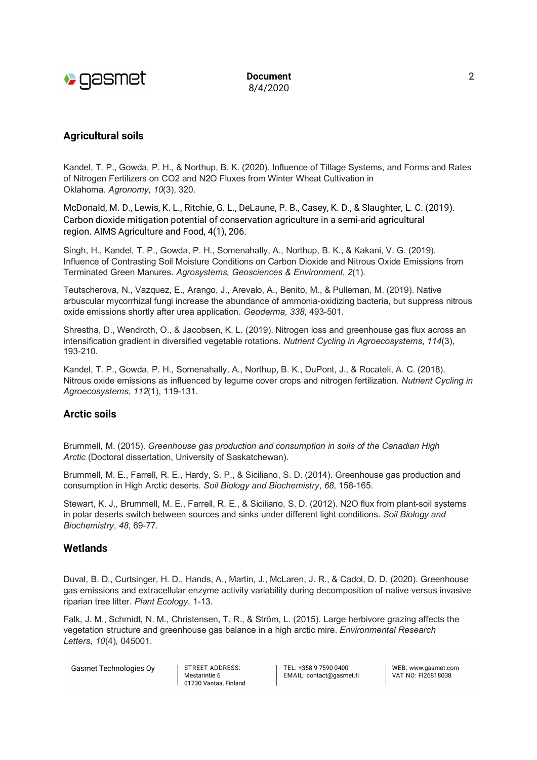

**Document** 2 8/4/2020

# **Agricultural soils**

Kandel, T. P., Gowda, P. H., & Northup, B. K. (2020). Influence of Tillage Systems, and Forms and Rates of Nitrogen Fertilizers on CO2 and N2O Fluxes from Winter Wheat Cultivation in Oklahoma. *Agronomy*, *10*(3), 320.

McDonald, M. D., Lewis, K. L., Ritchie, G. L., DeLaune, P. B., Casey, K. D., & Slaughter, L. C. (2019). Carbon dioxide mitigation potential of conservation agriculture in a semi-arid agricultural region. AIMS Agriculture and Food, 4(1), 206.

Singh, H., Kandel, T. P., Gowda, P. H., Somenahally, A., Northup, B. K., & Kakani, V. G. (2019). Influence of Contrasting Soil Moisture Conditions on Carbon Dioxide and Nitrous Oxide Emissions from Terminated Green Manures. *Agrosystems, Geosciences & Environment*, *2*(1).

Teutscherova, N., Vazquez, E., Arango, J., Arevalo, A., Benito, M., & Pulleman, M. (2019). Native arbuscular mycorrhizal fungi increase the abundance of ammonia-oxidizing bacteria, but suppress nitrous oxide emissions shortly after urea application. *Geoderma*, *338*, 493-501.

Shrestha, D., Wendroth, O., & Jacobsen, K. L. (2019). Nitrogen loss and greenhouse gas flux across an intensification gradient in diversified vegetable rotations. *Nutrient Cycling in Agroecosystems*, *114*(3), 193-210.

Kandel, T. P., Gowda, P. H., Somenahally, A., Northup, B. K., DuPont, J., & Rocateli, A. C. (2018). Nitrous oxide emissions as influenced by legume cover crops and nitrogen fertilization. *Nutrient Cycling in Agroecosystems*, *112*(1), 119-131.

## **Arctic soils**

Brummell, M. (2015). *Greenhouse gas production and consumption in soils of the Canadian High Arctic* (Doctoral dissertation, University of Saskatchewan).

Brummell, M. E., Farrell, R. E., Hardy, S. P., & Siciliano, S. D. (2014). Greenhouse gas production and consumption in High Arctic deserts. *Soil Biology and Biochemistry*, *68*, 158-165.

Stewart, K. J., Brummell, M. E., Farrell, R. E., & Siciliano, S. D. (2012). N2O flux from plant-soil systems in polar deserts switch between sources and sinks under different light conditions. *Soil Biology and Biochemistry*, *48*, 69-77.

## **Wetlands**

Duval, B. D., Curtsinger, H. D., Hands, A., Martin, J., McLaren, J. R., & Cadol, D. D. (2020). Greenhouse gas emissions and extracellular enzyme activity variability during decomposition of native versus invasive riparian tree litter. *Plant Ecology*, 1-13.

Falk, J. M., Schmidt, N. M., Christensen, T. R., & Ström, L. (2015). Large herbivore grazing affects the vegetation structure and greenhouse gas balance in a high arctic mire. *Environmental Research Letters*, *10*(4), 045001.

**Gasmet Technologies Oy** 

STREET ADDRESS: Mestarintie 6 01730 Vantaa, Finland TEL: +358 9 7590 0400 EMAIL: contact@gasmet.fi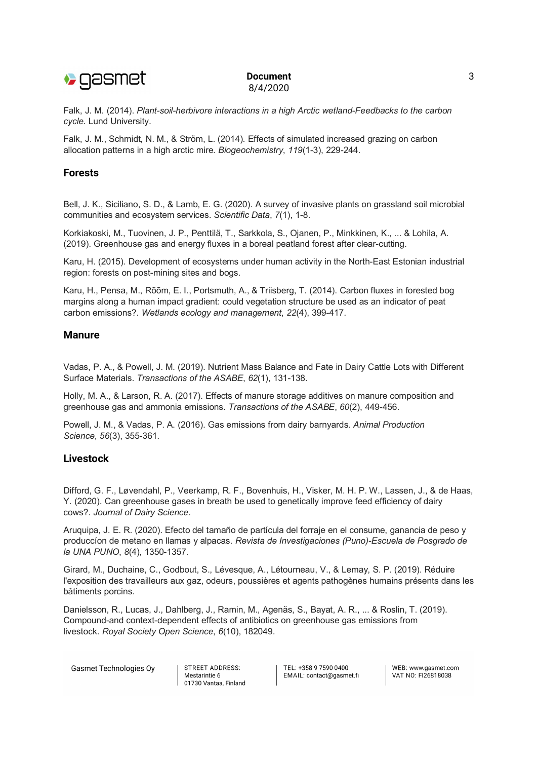

#### **Document** 3 8/4/2020

Falk, J. M. (2014). *Plant-soil-herbivore interactions in a high Arctic wetland-Feedbacks to the carbon cycle*. Lund University.

Falk, J. M., Schmidt, N. M., & Ström, L. (2014). Effects of simulated increased grazing on carbon allocation patterns in a high arctic mire. *Biogeochemistry*, *119*(1-3), 229-244.

# **Forests**

Bell, J. K., Siciliano, S. D., & Lamb, E. G. (2020). A survey of invasive plants on grassland soil microbial communities and ecosystem services. *Scientific Data*, *7*(1), 1-8.

Korkiakoski, M., Tuovinen, J. P., Penttilä, T., Sarkkola, S., Ojanen, P., Minkkinen, K., ... & Lohila, A. (2019). Greenhouse gas and energy fluxes in a boreal peatland forest after clear-cutting.

Karu, H. (2015). Development of ecosystems under human activity in the North-East Estonian industrial region: forests on post-mining sites and bogs.

Karu, H., Pensa, M., Rõõm, E. I., Portsmuth, A., & Triisberg, T. (2014). Carbon fluxes in forested bog margins along a human impact gradient: could vegetation structure be used as an indicator of peat carbon emissions?. *Wetlands ecology and management*, *22*(4), 399-417.

## **Manure**

Vadas, P. A., & Powell, J. M. (2019). Nutrient Mass Balance and Fate in Dairy Cattle Lots with Different Surface Materials. *Transactions of the ASABE*, *62*(1), 131-138.

Holly, M. A., & Larson, R. A. (2017). Effects of manure storage additives on manure composition and greenhouse gas and ammonia emissions. *Transactions of the ASABE*, *60*(2), 449-456.

Powell, J. M., & Vadas, P. A. (2016). Gas emissions from dairy barnyards. *Animal Production Science*, *56*(3), 355-361.

### **Livestock**

Difford, G. F., Løvendahl, P., Veerkamp, R. F., Bovenhuis, H., Visker, M. H. P. W., Lassen, J., & de Haas, Y. (2020). Can greenhouse gases in breath be used to genetically improve feed efficiency of dairy cows?. *Journal of Dairy Science*.

Aruquipa, J. E. R. (2020). Efecto del tamaño de partícula del forraje en el consume, ganancia de peso y produccíon de metano en llamas y alpacas. *Revista de Investigaciones (Puno)-Escuela de Posgrado de la UNA PUNO*, *8*(4), 1350-1357.

Girard, M., Duchaine, C., Godbout, S., Lévesque, A., Létourneau, V., & Lemay, S. P. (2019). Réduire l'exposition des travailleurs aux gaz, odeurs, poussières et agents pathogènes humains présents dans les bâtiments porcins.

Danielsson, R., Lucas, J., Dahlberg, J., Ramin, M., Agenäs, S., Bayat, A. R., ... & Roslin, T. (2019). Compound-and context-dependent effects of antibiotics on greenhouse gas emissions from livestock. *Royal Society Open Science*, *6*(10), 182049.

**Gasmet Technologies Oy** 

STREET ADDRESS: Mestarintie 6 01730 Vantaa, Finland TEL: +358 9 7590 0400 EMAIL: contact@gasmet.fi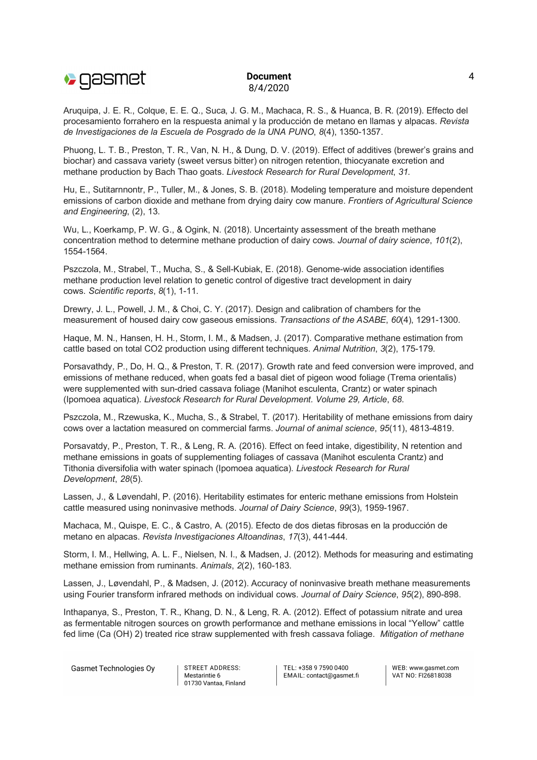

#### **Document** 4 8/4/2020

Aruquipa, J. E. R., Colque, E. E. Q., Suca, J. G. M., Machaca, R. S., & Huanca, B. R. (2019). Effecto del procesamiento forrahero en la respuesta animal y la producción de metano en llamas y alpacas. *Revista de Investigaciones de la Escuela de Posgrado de la UNA PUNO*, *8*(4), 1350-1357.

Phuong, L. T. B., Preston, T. R., Van, N. H., & Dung, D. V. (2019). Effect of additives (brewer's grains and biochar) and cassava variety (sweet versus bitter) on nitrogen retention, thiocyanate excretion and methane production by Bach Thao goats. *Livestock Research for Rural Development*, *31*.

Hu, E., Sutitarnnontr, P., Tuller, M., & Jones, S. B. (2018). Modeling temperature and moisture dependent emissions of carbon dioxide and methane from drying dairy cow manure. *Frontiers of Agricultural Science and Engineering*, (2), 13.

Wu, L., Koerkamp, P. W. G., & Ogink, N. (2018). Uncertainty assessment of the breath methane concentration method to determine methane production of dairy cows. *Journal of dairy science*, *101*(2), 1554-1564.

Pszczola, M., Strabel, T., Mucha, S., & Sell-Kubiak, E. (2018). Genome-wide association identifies methane production level relation to genetic control of digestive tract development in dairy cows. *Scientific reports*, *8*(1), 1-11.

Drewry, J. L., Powell, J. M., & Choi, C. Y. (2017). Design and calibration of chambers for the measurement of housed dairy cow gaseous emissions. *Transactions of the ASABE*, *60*(4), 1291-1300.

Haque, M. N., Hansen, H. H., Storm, I. M., & Madsen, J. (2017). Comparative methane estimation from cattle based on total CO2 production using different techniques. *Animal Nutrition*, *3*(2), 175-179.

Porsavathdy, P., Do, H. Q., & Preston, T. R. (2017). Growth rate and feed conversion were improved, and emissions of methane reduced, when goats fed a basal diet of pigeon wood foliage (Trema orientalis) were supplemented with sun-dried cassava foliage (Manihot esculenta, Crantz) or water spinach (Ipomoea aquatica). *Livestock Research for Rural Development. Volume 29, Article*, *68*.

Pszczola, M., Rzewuska, K., Mucha, S., & Strabel, T. (2017). Heritability of methane emissions from dairy cows over a lactation measured on commercial farms. *Journal of animal science*, *95*(11), 4813-4819.

Porsavatdy, P., Preston, T. R., & Leng, R. A. (2016). Effect on feed intake, digestibility, N retention and methane emissions in goats of supplementing foliages of cassava (Manihot esculenta Crantz) and Tithonia diversifolia with water spinach (Ipomoea aquatica). *Livestock Research for Rural Development*, *28*(5).

Lassen, J., & Løvendahl, P. (2016). Heritability estimates for enteric methane emissions from Holstein cattle measured using noninvasive methods. *Journal of Dairy Science*, *99*(3), 1959-1967.

Machaca, M., Quispe, E. C., & Castro, A. (2015). Efecto de dos dietas fibrosas en la producción de metano en alpacas. *Revista Investigaciones Altoandinas*, *17*(3), 441-444.

Storm, I. M., Hellwing, A. L. F., Nielsen, N. I., & Madsen, J. (2012). Methods for measuring and estimating methane emission from ruminants. *Animals*, *2*(2), 160-183.

Lassen, J., Løvendahl, P., & Madsen, J. (2012). Accuracy of noninvasive breath methane measurements using Fourier transform infrared methods on individual cows. *Journal of Dairy Science*, *95*(2), 890-898.

Inthapanya, S., Preston, T. R., Khang, D. N., & Leng, R. A. (2012). Effect of potassium nitrate and urea as fermentable nitrogen sources on growth performance and methane emissions in local "Yellow" cattle fed lime (Ca (OH) 2) treated rice straw supplemented with fresh cassava foliage. *Mitigation of methane*

**Gasmet Technologies Ov** 

STREET ADDRESS: Mestarintie 6 01730 Vantaa, Finland TEL: +358 9 7590 0400 EMAIL: contact@gasmet.fi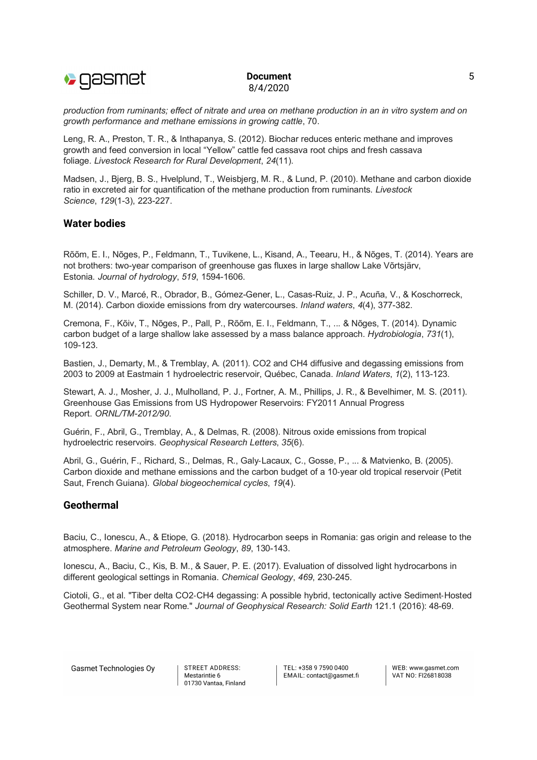

### **Document** 5 8/4/2020

*production from ruminants; effect of nitrate and urea on methane production in an in vitro system and on growth performance and methane emissions in growing cattle*, 70.

Leng, R. A., Preston, T. R., & Inthapanya, S. (2012). Biochar reduces enteric methane and improves growth and feed conversion in local "Yellow" cattle fed cassava root chips and fresh cassava foliage. *Livestock Research for Rural Development*, *24*(11).

Madsen, J., Bjerg, B. S., Hvelplund, T., Weisbjerg, M. R., & Lund, P. (2010). Methane and carbon dioxide ratio in excreted air for quantification of the methane production from ruminants. *Livestock Science*, *129*(1-3), 223-227.

## **Water bodies**

Rõõm, E. I., Nõges, P., Feldmann, T., Tuvikene, L., Kisand, A., Teearu, H., & Nõges, T. (2014). Years are not brothers: two-year comparison of greenhouse gas fluxes in large shallow Lake Võrtsjärv, Estonia. *Journal of hydrology*, *519*, 1594-1606.

Schiller, D. V., Marcé, R., Obrador, B., Gómez-Gener, L., Casas-Ruiz, J. P., Acuña, V., & Koschorreck, M. (2014). Carbon dioxide emissions from dry watercourses. *Inland waters*, *4*(4), 377-382.

Cremona, F., Kõiv, T., Nõges, P., Pall, P., Rõõm, E. I., Feldmann, T., ... & Nõges, T. (2014). Dynamic carbon budget of a large shallow lake assessed by a mass balance approach. *Hydrobiologia*, *731*(1), 109-123.

Bastien, J., Demarty, M., & Tremblay, A. (2011). CO2 and CH4 diffusive and degassing emissions from 2003 to 2009 at Eastmain 1 hydroelectric reservoir, Québec, Canada. *Inland Waters*, *1*(2), 113-123.

Stewart, A. J., Mosher, J. J., Mulholland, P. J., Fortner, A. M., Phillips, J. R., & Bevelhimer, M. S. (2011). Greenhouse Gas Emissions from US Hydropower Reservoirs: FY2011 Annual Progress Report. *ORNL/TM-2012/90*.

Guérin, F., Abril, G., Tremblay, A., & Delmas, R. (2008). Nitrous oxide emissions from tropical hydroelectric reservoirs. *Geophysical Research Letters*, *35*(6).

Abril, G., Guérin, F., Richard, S., Delmas, R., Galy-Lacaux, C., Gosse, P., ... & Matvienko, B. (2005). Carbon dioxide and methane emissions and the carbon budget of a 10-year old tropical reservoir (Petit Saut, French Guiana). *Global biogeochemical cycles*, *19*(4).

## **Geothermal**

Baciu, C., Ionescu, A., & Etiope, G. (2018). Hydrocarbon seeps in Romania: gas origin and release to the atmosphere. *Marine and Petroleum Geology*, *89*, 130-143.

Ionescu, A., Baciu, C., Kis, B. M., & Sauer, P. E. (2017). Evaluation of dissolved light hydrocarbons in different geological settings in Romania. *Chemical Geology*, *469*, 230-245.

Ciotoli, G., et al. "Tiber delta CO2-CH4 degassing: A possible hybrid, tectonically active Sediment-Hosted Geothermal System near Rome." *Journal of Geophysical Research: Solid Earth* 121.1 (2016): 48-69.

**Gasmet Technologies Oy** 

STREET ADDRESS: Mestarintie 6 01730 Vantaa, Finland TEL: +358 9 7590 0400 EMAIL: contact@gasmet.fi